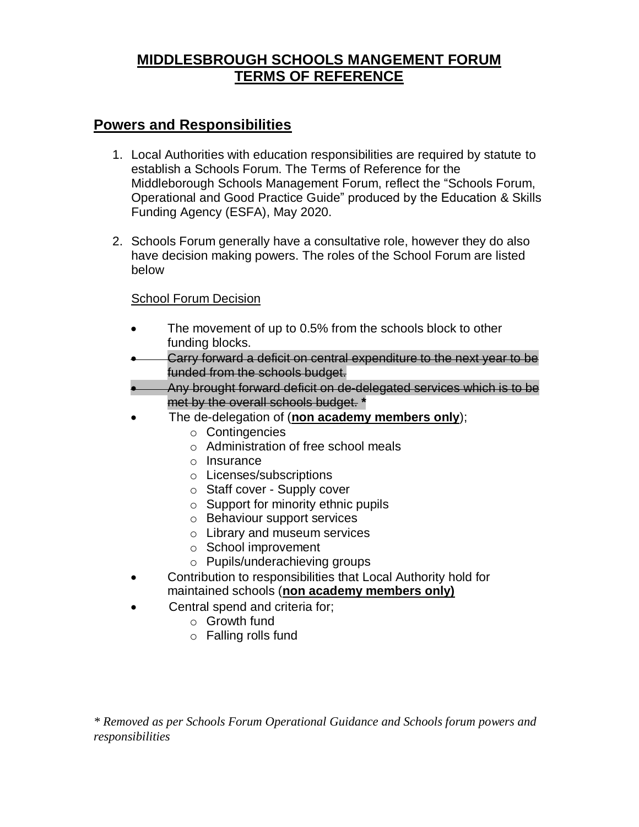# **MIDDLESBROUGH SCHOOLS MANGEMENT FORUM TERMS OF REFERENCE**

# **Powers and Responsibilities**

- 1. Local Authorities with education responsibilities are required by statute to establish a Schools Forum. The Terms of Reference for the Middleborough Schools Management Forum, reflect the "Schools Forum, Operational and Good Practice Guide" produced by the Education & Skills Funding Agency (ESFA), May 2020.
- 2. Schools Forum generally have a consultative role, however they do also have decision making powers. The roles of the School Forum are listed below

### School Forum Decision

- The movement of up to 0.5% from the schools block to other funding blocks.
- Carry forward a deficit on central expenditure to the next year to be funded from the schools budget.
- Any brought forward deficit on de-delegated services which is to be met by the overall schools budget. **\***
- The de-delegation of (**non academy members only**);
	- o Contingencies
	- o Administration of free school meals
	- o Insurance
	- o Licenses/subscriptions
	- o Staff cover Supply cover
	- o Support for minority ethnic pupils
	- o Behaviour support services
	- o Library and museum services
	- o School improvement
	- o Pupils/underachieving groups
- Contribution to responsibilities that Local Authority hold for maintained schools (**non academy members only)**
- Central spend and criteria for;
	- o Growth fund
	- o Falling rolls fund

*\* Removed as per Schools Forum Operational Guidance and Schools forum powers and responsibilities*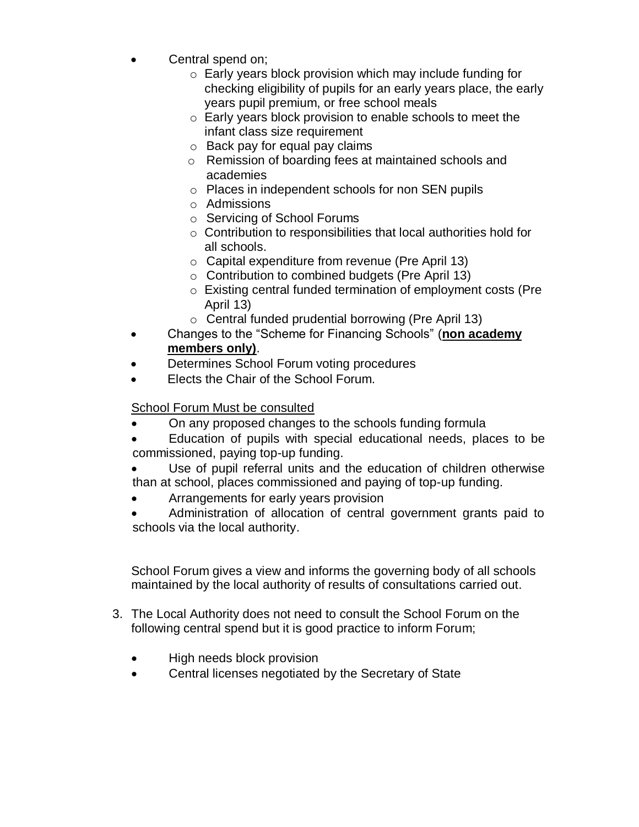- Central spend on;
	- o Early years block provision which may include funding for checking eligibility of pupils for an early years place, the early years pupil premium, or free school meals
	- o Early years block provision to enable schools to meet the infant class size requirement
	- $\circ$  Back pay for equal pay claims
	- o Remission of boarding fees at maintained schools and academies
	- o Places in independent schools for non SEN pupils
	- o Admissions
	- o Servicing of School Forums
	- o Contribution to responsibilities that local authorities hold for all schools.
	- o Capital expenditure from revenue (Pre April 13)
	- o Contribution to combined budgets (Pre April 13)
	- o Existing central funded termination of employment costs (Pre April 13)
	- o Central funded prudential borrowing (Pre April 13)
- Changes to the "Scheme for Financing Schools" (**non academy members only)**.
- Determines School Forum voting procedures
- Elects the Chair of the School Forum.

# School Forum Must be consulted

- On any proposed changes to the schools funding formula
- Education of pupils with special educational needs, places to be commissioned, paying top-up funding.
- Use of pupil referral units and the education of children otherwise than at school, places commissioned and paying of top-up funding.
- Arrangements for early years provision
- Administration of allocation of central government grants paid to schools via the local authority.

School Forum gives a view and informs the governing body of all schools maintained by the local authority of results of consultations carried out.

- 3. The Local Authority does not need to consult the School Forum on the following central spend but it is good practice to inform Forum;
	- High needs block provision
	- Central licenses negotiated by the Secretary of State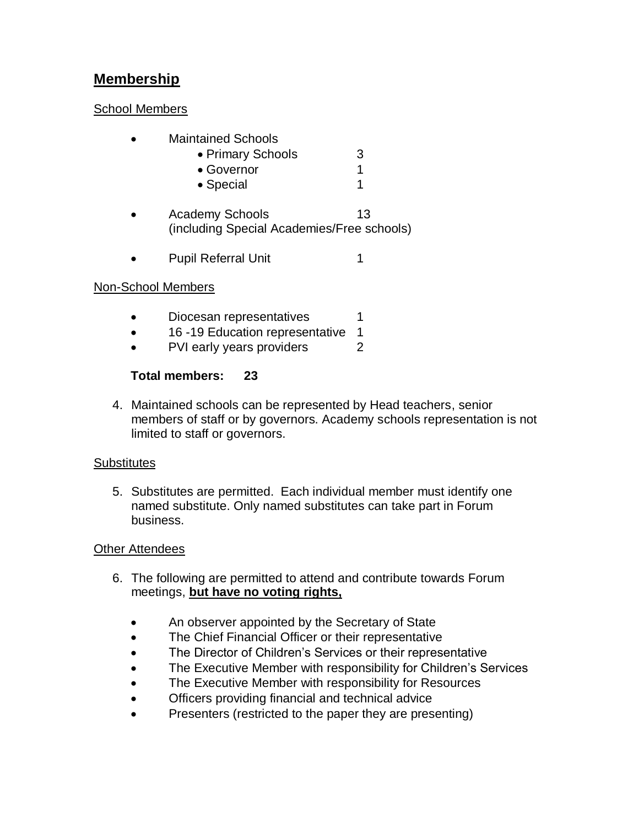# **Membership**

### School Members

- Maintained Schools
	- Primary Schools 3
	- Governor 1
	- Special 1
- Academy Schools 13 (including Special Academies/Free schools)
- Pupil Referral Unit 1

### Non-School Members

- Diocesan representatives 1
- 16 -19 Education representative 1
- PVI early years providers 2

### **Total members: 23**

4. Maintained schools can be represented by Head teachers, senior members of staff or by governors. Academy schools representation is not limited to staff or governors.

### **Substitutes**

5. Substitutes are permitted. Each individual member must identify one named substitute. Only named substitutes can take part in Forum business.

### **Other Attendees**

- 6. The following are permitted to attend and contribute towards Forum meetings, **but have no voting rights,**
	- An observer appointed by the Secretary of State
	- The Chief Financial Officer or their representative
	- The Director of Children's Services or their representative
	- The Executive Member with responsibility for Children's Services
	- The Executive Member with responsibility for Resources
	- Officers providing financial and technical advice
	- Presenters (restricted to the paper they are presenting)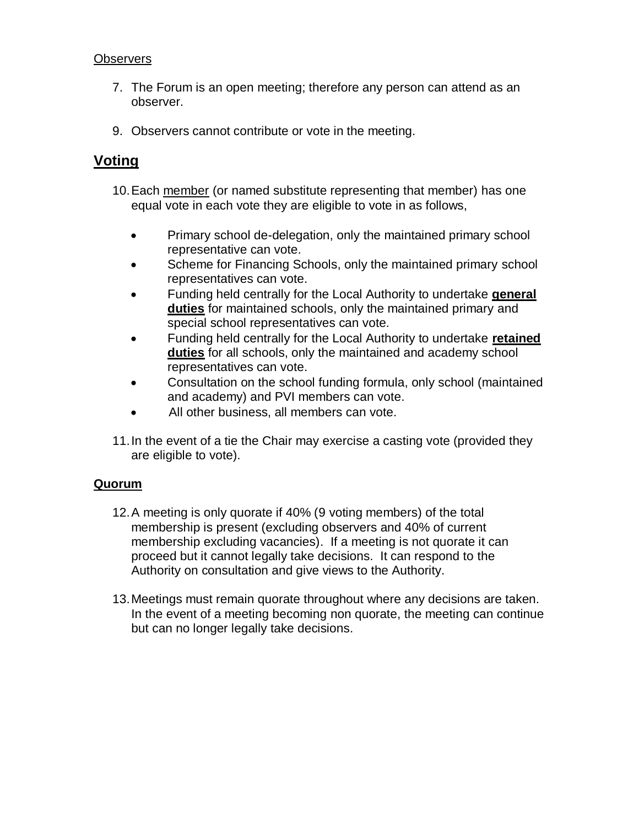### **Observers**

- 7. The Forum is an open meeting; therefore any person can attend as an observer.
- 9. Observers cannot contribute or vote in the meeting.

# **Voting**

- 10.Each member (or named substitute representing that member) has one equal vote in each vote they are eligible to vote in as follows,
	- Primary school de-delegation, only the maintained primary school representative can vote.
	- Scheme for Financing Schools, only the maintained primary school representatives can vote.
	- Funding held centrally for the Local Authority to undertake **general duties** for maintained schools, only the maintained primary and special school representatives can vote.
	- Funding held centrally for the Local Authority to undertake **retained duties** for all schools, only the maintained and academy school representatives can vote.
	- Consultation on the school funding formula, only school (maintained and academy) and PVI members can vote.
	- All other business, all members can vote.
- 11.In the event of a tie the Chair may exercise a casting vote (provided they are eligible to vote).

### **Quorum**

- 12.A meeting is only quorate if 40% (9 voting members) of the total membership is present (excluding observers and 40% of current membership excluding vacancies). If a meeting is not quorate it can proceed but it cannot legally take decisions. It can respond to the Authority on consultation and give views to the Authority.
- 13.Meetings must remain quorate throughout where any decisions are taken. In the event of a meeting becoming non quorate, the meeting can continue but can no longer legally take decisions.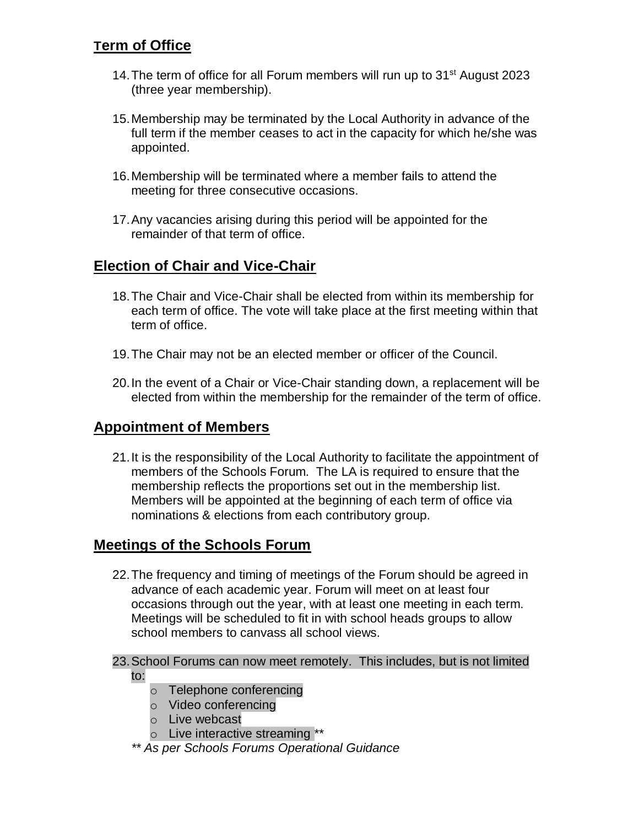# **Term of Office**

- 14. The term of office for all Forum members will run up to 31<sup>st</sup> August 2023 (three year membership).
- 15.Membership may be terminated by the Local Authority in advance of the full term if the member ceases to act in the capacity for which he/she was appointed.
- 16.Membership will be terminated where a member fails to attend the meeting for three consecutive occasions.
- 17.Any vacancies arising during this period will be appointed for the remainder of that term of office.

## **Election of Chair and Vice-Chair**

- 18.The Chair and Vice-Chair shall be elected from within its membership for each term of office. The vote will take place at the first meeting within that term of office.
- 19.The Chair may not be an elected member or officer of the Council.
- 20.In the event of a Chair or Vice-Chair standing down, a replacement will be elected from within the membership for the remainder of the term of office.

## **Appointment of Members**

21.It is the responsibility of the Local Authority to facilitate the appointment of members of the Schools Forum. The LA is required to ensure that the membership reflects the proportions set out in the membership list. Members will be appointed at the beginning of each term of office via nominations & elections from each contributory group.

## **Meetings of the Schools Forum**

22.The frequency and timing of meetings of the Forum should be agreed in advance of each academic year. Forum will meet on at least four occasions through out the year, with at least one meeting in each term. Meetings will be scheduled to fit in with school heads groups to allow school members to canvass all school views.

#### 23.School Forums can now meet remotely. This includes, but is not limited to:

- o Telephone conferencing
- o Video conferencing
- o Live webcast
- o Live interactive streaming \*\*
- *\*\* As per Schools Forums Operational Guidance*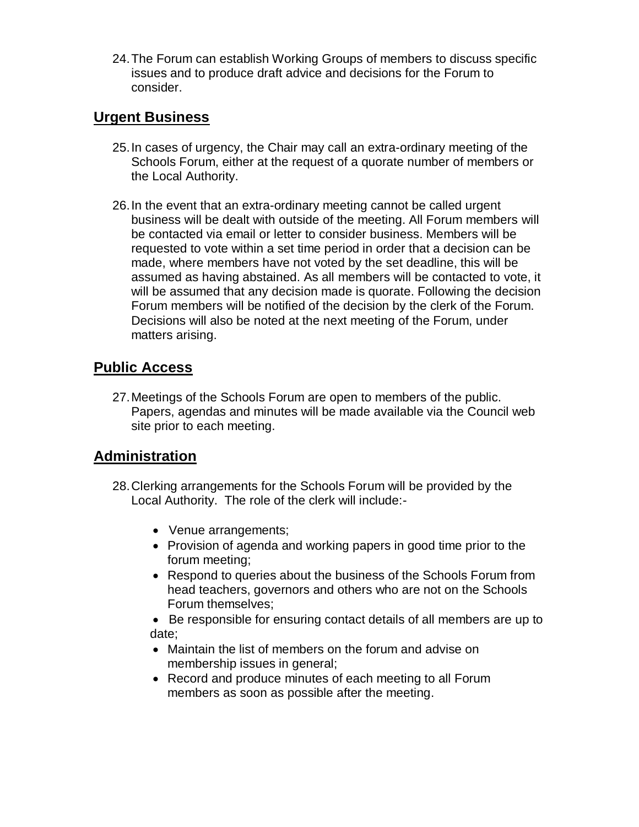24.The Forum can establish Working Groups of members to discuss specific issues and to produce draft advice and decisions for the Forum to consider.

# **Urgent Business**

- 25.In cases of urgency, the Chair may call an extra-ordinary meeting of the Schools Forum, either at the request of a quorate number of members or the Local Authority.
- 26.In the event that an extra-ordinary meeting cannot be called urgent business will be dealt with outside of the meeting. All Forum members will be contacted via email or letter to consider business. Members will be requested to vote within a set time period in order that a decision can be made, where members have not voted by the set deadline, this will be assumed as having abstained. As all members will be contacted to vote, it will be assumed that any decision made is quorate. Following the decision Forum members will be notified of the decision by the clerk of the Forum. Decisions will also be noted at the next meeting of the Forum, under matters arising.

# **Public Access**

27.Meetings of the Schools Forum are open to members of the public. Papers, agendas and minutes will be made available via the Council web site prior to each meeting.

# **Administration**

- 28.Clerking arrangements for the Schools Forum will be provided by the Local Authority. The role of the clerk will include:-
	- Venue arrangements;
	- Provision of agenda and working papers in good time prior to the forum meeting;
	- Respond to queries about the business of the Schools Forum from head teachers, governors and others who are not on the Schools Forum themselves;
	- Be responsible for ensuring contact details of all members are up to date;
	- Maintain the list of members on the forum and advise on membership issues in general;
	- Record and produce minutes of each meeting to all Forum members as soon as possible after the meeting.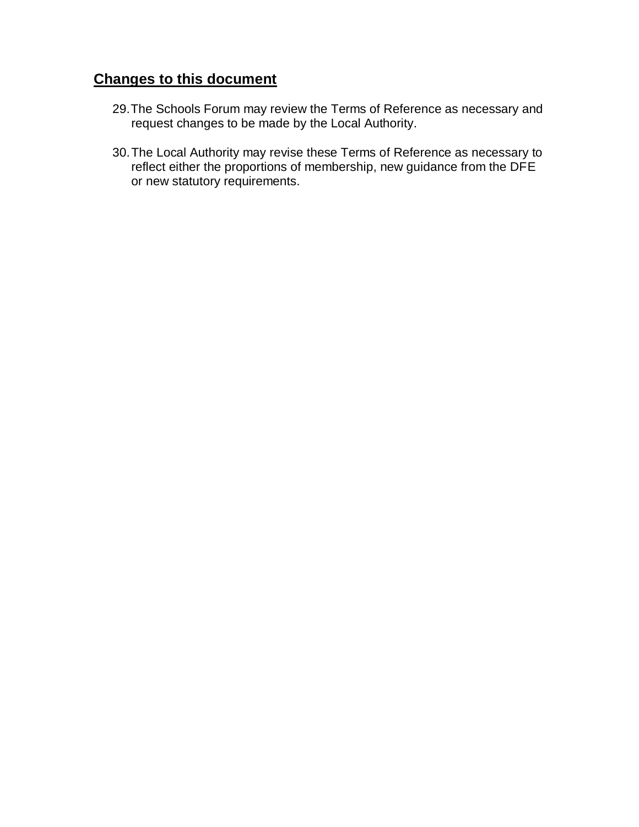# **Changes to this document**

- 29.The Schools Forum may review the Terms of Reference as necessary and request changes to be made by the Local Authority.
- 30.The Local Authority may revise these Terms of Reference as necessary to reflect either the proportions of membership, new guidance from the DFE or new statutory requirements.